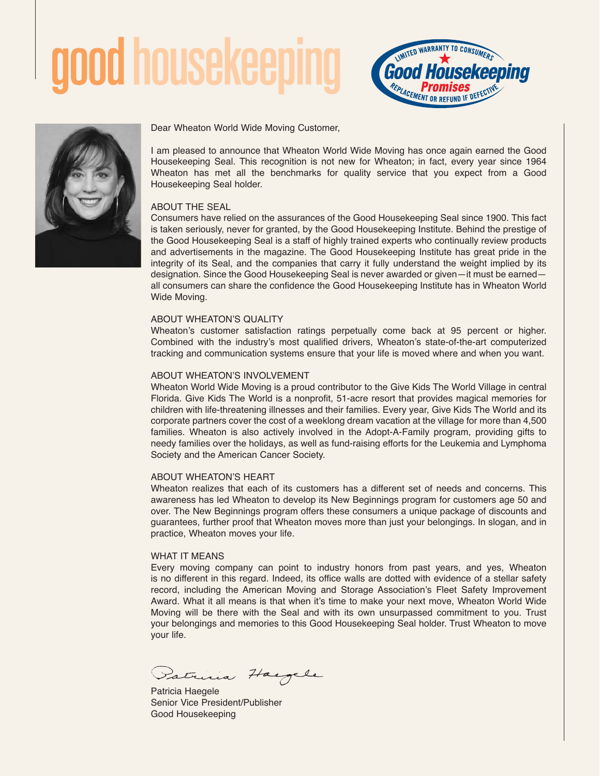



Dear Wheaton World Wide Moving Customer,

I am pleased to announce that Wheaton World Wide Moving has once again earned the Good Housekeeping Seal. This recognition is not new for Wheaton; in fact, every year since 1964 Wheaton has met all the benchmarks for quality service that you expect from a Good Housekeeping Seal holder.

# ABOUT THE SEAL

Consumers have relied on the assurances of the Good Housekeeping Seal since 1900. This fact is taken seriously, never for granted, by the Good Housekeeping Institute. Behind the prestige of the Good Housekeeping Seal is a staff of highly trained experts who continually review products and advertisements in the magazine. The Good Housekeeping Institute has great pride in the integrity of its Seal, and the companies that carry it fully understand the weight implied by its designation. Since the Good Housekeeping Seal is never awarded or given—it must be earned all consumers can share the confidence the Good Housekeeping Institute has in Wheaton World Wide Moving.

## ABOUT WHEATON'S QUALITY

Wheaton's customer satisfaction ratings perpetually come back at 95 percent or higher. Combined with the industry's most qualified drivers, Wheaton's state-of-the-art computerized tracking and communication systems ensure that your life is moved where and when you want.

## ABOUT WHEATON'S INVOLVEMENT

Wheaton World Wide Moving is a proud contributor to the Give Kids The World Village in central Florida. Give Kids The World is a nonprofit, 51-acre resort that provides magical memories for children with life-threatening illnesses and their families. Every year, Give Kids The World and its corporate partners cover the cost of a weeklong dream vacation at the village for more than 4,500 families. Wheaton is also actively involved in the Adopt-A-Family program, providing gifts to needy families over the holidays, as well as fund-raising efforts for the Leukemia and Lymphoma Society and the American Cancer Society.

# ABOUT WHEATON'S HEART

Wheaton realizes that each of its customers has a different set of needs and concerns. This awareness has led Wheaton to develop its New Beginnings program for customers age 50 and over. The New Beginnings program offers these consumers a unique package of discounts and guarantees, further proof that Wheaton moves more than just your belongings. In slogan, and in practice, Wheaton moves your life.

#### WHAT IT MEANS

Every moving company can point to industry honors from past years, and yes, Wheaton is no different in this regard. Indeed, its office walls are dotted with evidence of a stellar safety record, including the American Moving and Storage Association's Fleet Safety Improvement Award. What it all means is that when it's time to make your next move, Wheaton World Wide Moving will be there with the Seal and with its own unsurpassed commitment to you. Trust your belongings and memories to this Good Housekeeping Seal holder. Trust Wheaton to move your life.

atricia Hary

Patricia Haegele Senior Vice President/Publisher Good Housekeeping